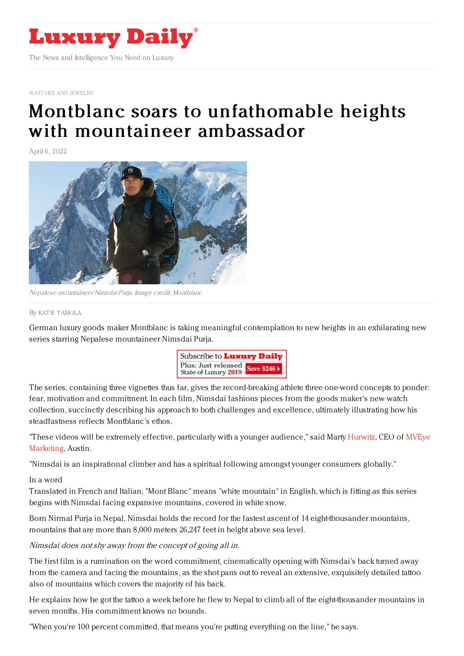

[WATCHES](https://www.luxurydaily.com/category/sectors/jewelry/) AND JEWELRY

# Montblanc soars to [unfathomable](https://www.luxurydaily.com/montblanc-nimsdai-campaign-2022/) heights with mountaineer ambassador

April 6, 2022



Nepalese mountaineerNimsdai Purja. Image credit: Montblanc

#### By KAT IE [TAMOLA](file:///author/katie-tamola)

German luxury goods maker Montblanc is taking meaningful contemplation to new heights in an exhilarating new series starring Nepalese mountaineer Nimsdai Purja.



The series, containing three vignettes thus far, gives the record-breaking athlete three one-word concepts to ponder: fear, motivation and commitment. In each film, Nimsdai fashions pieces from the goods maker's new watch collection, succinctly describing his approach to both challenges and excellence, ultimately illustrating how his steadfastness reflects Montblanc's ethos.

"These videos will be extremely effective, [particularly](https://www.themveye.com/) with a younger audience," said Marty [Hurwitz](https://www.themveye.com/), CEO of MVEye Marketing, Austin.

"Nimsdai is an inspirational climber and has a spiritual following amongst younger consumers globally."

### In a word

Translated in French and Italian, "Mont Blanc" means "white mountain" in English, which is fitting as this series begins with Nimsdai facing expansive mountains, covered in white snow.

Born Nirmal Purja in Nepal, Nimsdai holds the record for the fastest ascent of 14 eight-thousander mountains, mountains that are more than 8,000 meters 26,247 feet in height above sea level.

### Nimsdai does notshy away from the concept of going all in.

The first film is a rumination on the word commitment, cinematically opening with Nimsdai's back turned away from the camera and facing the mountains, as the shot pans out to reveal an extensive, exquisitely detailed tattoo also of mountains which covers the majority of his back.

He explains how he got the tattoo a week before he flew to Nepal to climb all of the eight-thousander mountains in seven months. His commitment knows no bounds.

"When you're 100 percent committed, that means you're putting everything on the line," he says.